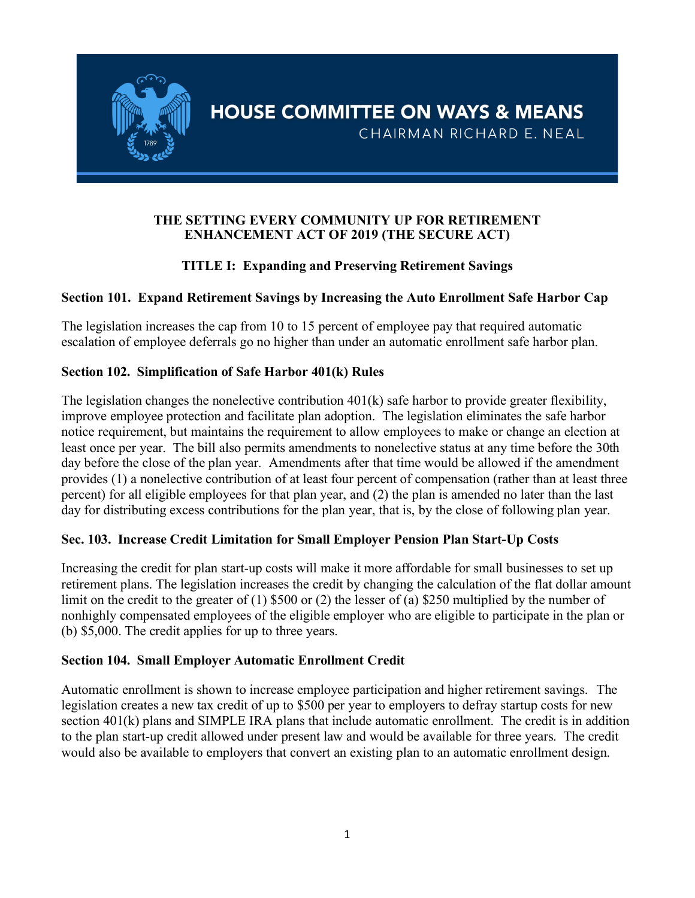

#### **THE SETTING EVERY COMMUNITY UP FOR RETIREMENT ENHANCEMENT ACT OF 2019 (THE SECURE ACT)**

## **TITLE I: Expanding and Preserving Retirement Savings**

## **Section 101. Expand Retirement Savings by Increasing the Auto Enrollment Safe Harbor Cap**

The legislation increases the cap from 10 to 15 percent of employee pay that required automatic escalation of employee deferrals go no higher than under an automatic enrollment safe harbor plan.

#### **Section 102. Simplification of Safe Harbor 401(k) Rules**

The legislation changes the nonelective contribution  $401(k)$  safe harbor to provide greater flexibility, improve employee protection and facilitate plan adoption. The legislation eliminates the safe harbor notice requirement, but maintains the requirement to allow employees to make or change an election at least once per year. The bill also permits amendments to nonelective status at any time before the 30th day before the close of the plan year. Amendments after that time would be allowed if the amendment provides (1) a nonelective contribution of at least four percent of compensation (rather than at least three percent) for all eligible employees for that plan year, and (2) the plan is amended no later than the last day for distributing excess contributions for the plan year, that is, by the close of following plan year.

#### **Sec. 103. Increase Credit Limitation for Small Employer Pension Plan Start-Up Costs**

Increasing the credit for plan start-up costs will make it more affordable for small businesses to set up retirement plans. The legislation increases the credit by changing the calculation of the flat dollar amount limit on the credit to the greater of (1) \$500 or (2) the lesser of (a) \$250 multiplied by the number of nonhighly compensated employees of the eligible employer who are eligible to participate in the plan or (b) \$5,000. The credit applies for up to three years.

#### **Section 104. Small Employer Automatic Enrollment Credit**

Automatic enrollment is shown to increase employee participation and higher retirement savings. The legislation creates a new tax credit of up to \$500 per year to employers to defray startup costs for new section 401(k) plans and SIMPLE IRA plans that include automatic enrollment. The credit is in addition to the plan start-up credit allowed under present law and would be available for three years. The credit would also be available to employers that convert an existing plan to an automatic enrollment design.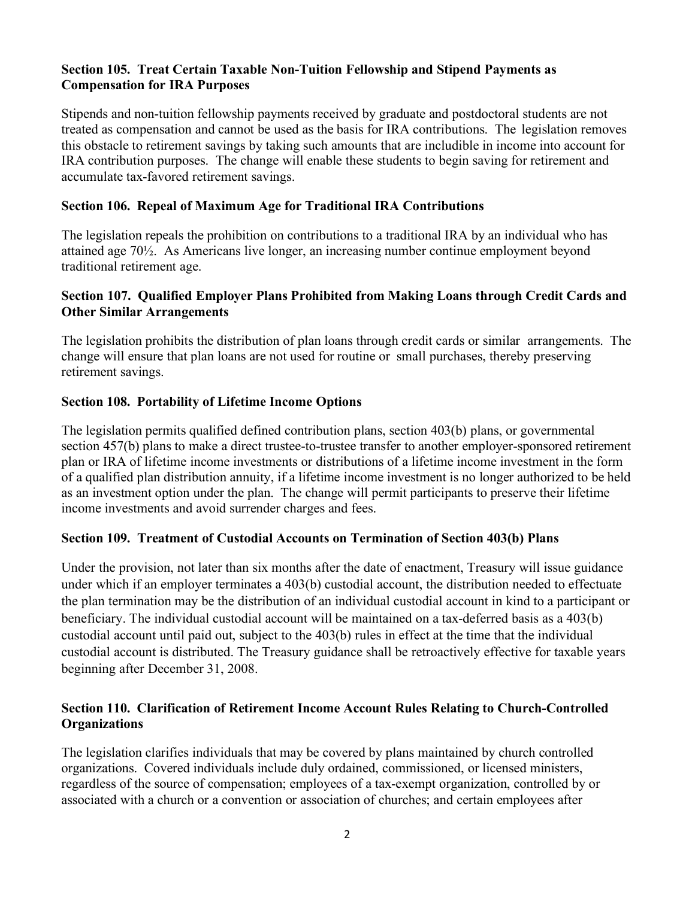## **Section 105. Treat Certain Taxable Non-Tuition Fellowship and Stipend Payments as Compensation for IRA Purposes**

Stipends and non-tuition fellowship payments received by graduate and postdoctoral students are not treated as compensation and cannot be used as the basis for IRA contributions. The legislation removes this obstacle to retirement savings by taking such amounts that are includible in income into account for IRA contribution purposes. The change will enable these students to begin saving for retirement and accumulate tax-favored retirement savings.

#### **Section 106. Repeal of Maximum Age for Traditional IRA Contributions**

The legislation repeals the prohibition on contributions to a traditional IRA by an individual who has attained age 70½. As Americans live longer, an increasing number continue employment beyond traditional retirement age.

#### **Section 107. Qualified Employer Plans Prohibited from Making Loans through Credit Cards and Other Similar Arrangements**

The legislation prohibits the distribution of plan loans through credit cards or similar arrangements. The change will ensure that plan loans are not used for routine or small purchases, thereby preserving retirement savings.

#### **Section 108. Portability of Lifetime Income Options**

The legislation permits qualified defined contribution plans, section 403(b) plans, or governmental section 457(b) plans to make a direct trustee-to-trustee transfer to another employer-sponsored retirement plan or IRA of lifetime income investments or distributions of a lifetime income investment in the form of a qualified plan distribution annuity, if a lifetime income investment is no longer authorized to be held as an investment option under the plan. The change will permit participants to preserve their lifetime income investments and avoid surrender charges and fees.

#### **Section 109. Treatment of Custodial Accounts on Termination of Section 403(b) Plans**

Under the provision, not later than six months after the date of enactment, Treasury will issue guidance under which if an employer terminates a 403(b) custodial account, the distribution needed to effectuate the plan termination may be the distribution of an individual custodial account in kind to a participant or beneficiary. The individual custodial account will be maintained on a tax-deferred basis as a 403(b) custodial account until paid out, subject to the 403(b) rules in effect at the time that the individual custodial account is distributed. The Treasury guidance shall be retroactively effective for taxable years beginning after December 31, 2008.

#### **Section 110. Clarification of Retirement Income Account Rules Relating to Church-Controlled Organizations**

The legislation clarifies individuals that may be covered by plans maintained by church controlled organizations. Covered individuals include duly ordained, commissioned, or licensed ministers, regardless of the source of compensation; employees of a tax-exempt organization, controlled by or associated with a church or a convention or association of churches; and certain employees after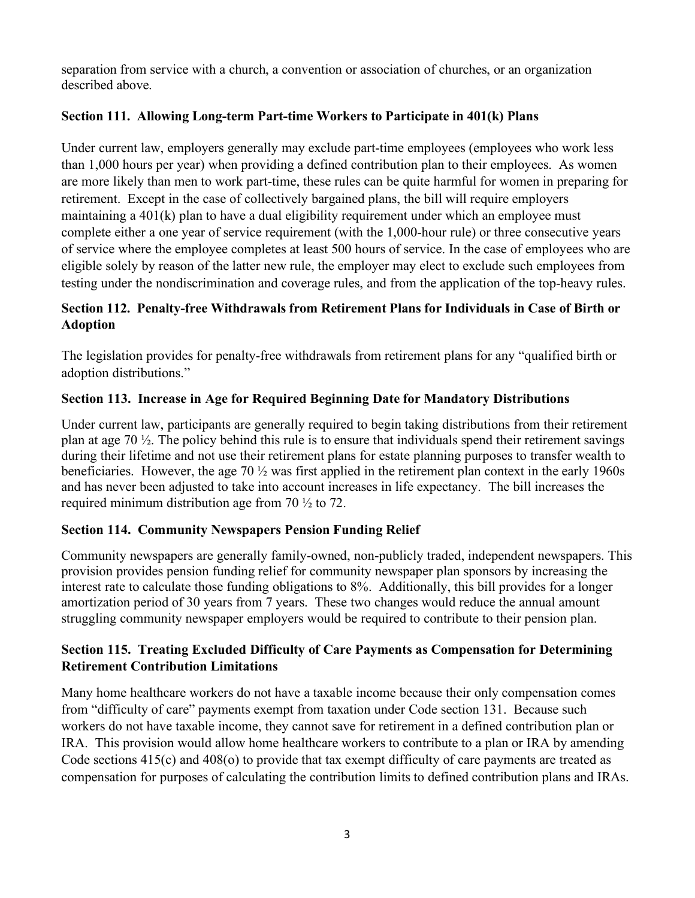separation from service with a church, a convention or association of churches, or an organization described above.

# **Section 111. Allowing Long-term Part-time Workers to Participate in 401(k) Plans**

Under current law, employers generally may exclude part-time employees (employees who work less than 1,000 hours per year) when providing a defined contribution plan to their employees. As women are more likely than men to work part-time, these rules can be quite harmful for women in preparing for retirement. Except in the case of collectively bargained plans, the bill will require employers maintaining a 401(k) plan to have a dual eligibility requirement under which an employee must complete either a one year of service requirement (with the 1,000-hour rule) or three consecutive years of service where the employee completes at least 500 hours of service. In the case of employees who are eligible solely by reason of the latter new rule, the employer may elect to exclude such employees from testing under the nondiscrimination and coverage rules, and from the application of the top-heavy rules.

# **Section 112. Penalty-free Withdrawals from Retirement Plans for Individuals in Case of Birth or Adoption**

The legislation provides for penalty-free withdrawals from retirement plans for any "qualified birth or adoption distributions."

# **Section 113. Increase in Age for Required Beginning Date for Mandatory Distributions**

Under current law, participants are generally required to begin taking distributions from their retirement plan at age 70 ½. The policy behind this rule is to ensure that individuals spend their retirement savings during their lifetime and not use their retirement plans for estate planning purposes to transfer wealth to beneficiaries. However, the age 70 ½ was first applied in the retirement plan context in the early 1960s and has never been adjusted to take into account increases in life expectancy. The bill increases the required minimum distribution age from 70 ½ to 72.

# **Section 114. Community Newspapers Pension Funding Relief**

Community newspapers are generally family-owned, non-publicly traded, independent newspapers. This provision provides pension funding relief for community newspaper plan sponsors by increasing the interest rate to calculate those funding obligations to 8%. Additionally, this bill provides for a longer amortization period of 30 years from 7 years. These two changes would reduce the annual amount struggling community newspaper employers would be required to contribute to their pension plan.

# **Section 115. Treating Excluded Difficulty of Care Payments as Compensation for Determining Retirement Contribution Limitations**

Many home healthcare workers do not have a taxable income because their only compensation comes from "difficulty of care" payments exempt from taxation under Code section 131. Because such workers do not have taxable income, they cannot save for retirement in a defined contribution plan or IRA. This provision would allow home healthcare workers to contribute to a plan or IRA by amending Code sections 415(c) and 408(o) to provide that tax exempt difficulty of care payments are treated as compensation for purposes of calculating the contribution limits to defined contribution plans and IRAs.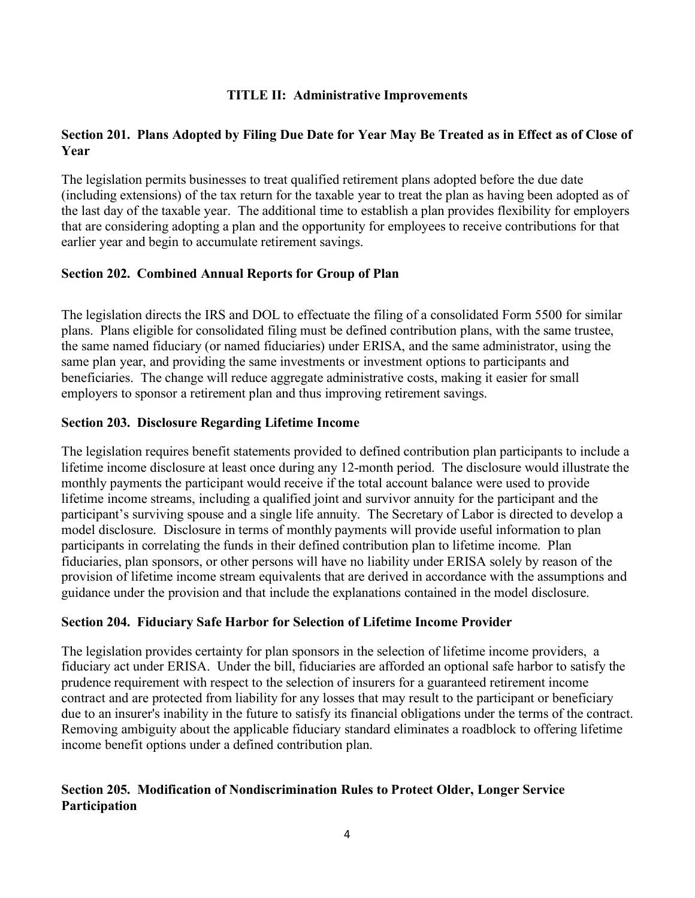## **TITLE II: Administrative Improvements**

## **Section 201. Plans Adopted by Filing Due Date for Year May Be Treated as in Effect as of Close of Year**

The legislation permits businesses to treat qualified retirement plans adopted before the due date (including extensions) of the tax return for the taxable year to treat the plan as having been adopted as of the last day of the taxable year. The additional time to establish a plan provides flexibility for employers that are considering adopting a plan and the opportunity for employees to receive contributions for that earlier year and begin to accumulate retirement savings.

#### **Section 202. Combined Annual Reports for Group of Plan**

The legislation directs the IRS and DOL to effectuate the filing of a consolidated Form 5500 for similar plans. Plans eligible for consolidated filing must be defined contribution plans, with the same trustee, the same named fiduciary (or named fiduciaries) under ERISA, and the same administrator, using the same plan year, and providing the same investments or investment options to participants and beneficiaries. The change will reduce aggregate administrative costs, making it easier for small employers to sponsor a retirement plan and thus improving retirement savings.

#### **Section 203. Disclosure Regarding Lifetime Income**

The legislation requires benefit statements provided to defined contribution plan participants to include a lifetime income disclosure at least once during any 12-month period. The disclosure would illustrate the monthly payments the participant would receive if the total account balance were used to provide lifetime income streams, including a qualified joint and survivor annuity for the participant and the participant's surviving spouse and a single life annuity. The Secretary of Labor is directed to develop a model disclosure. Disclosure in terms of monthly payments will provide useful information to plan participants in correlating the funds in their defined contribution plan to lifetime income. Plan fiduciaries, plan sponsors, or other persons will have no liability under ERISA solely by reason of the provision of lifetime income stream equivalents that are derived in accordance with the assumptions and guidance under the provision and that include the explanations contained in the model disclosure.

#### **Section 204. Fiduciary Safe Harbor for Selection of Lifetime Income Provider**

The legislation provides certainty for plan sponsors in the selection of lifetime income providers, a fiduciary act under ERISA. Under the bill, fiduciaries are afforded an optional safe harbor to satisfy the prudence requirement with respect to the selection of insurers for a guaranteed retirement income contract and are protected from liability for any losses that may result to the participant or beneficiary due to an insurer's inability in the future to satisfy its financial obligations under the terms of the contract. Removing ambiguity about the applicable fiduciary standard eliminates a roadblock to offering lifetime income benefit options under a defined contribution plan.

## **Section 205. Modification of Nondiscrimination Rules to Protect Older, Longer Service Participation**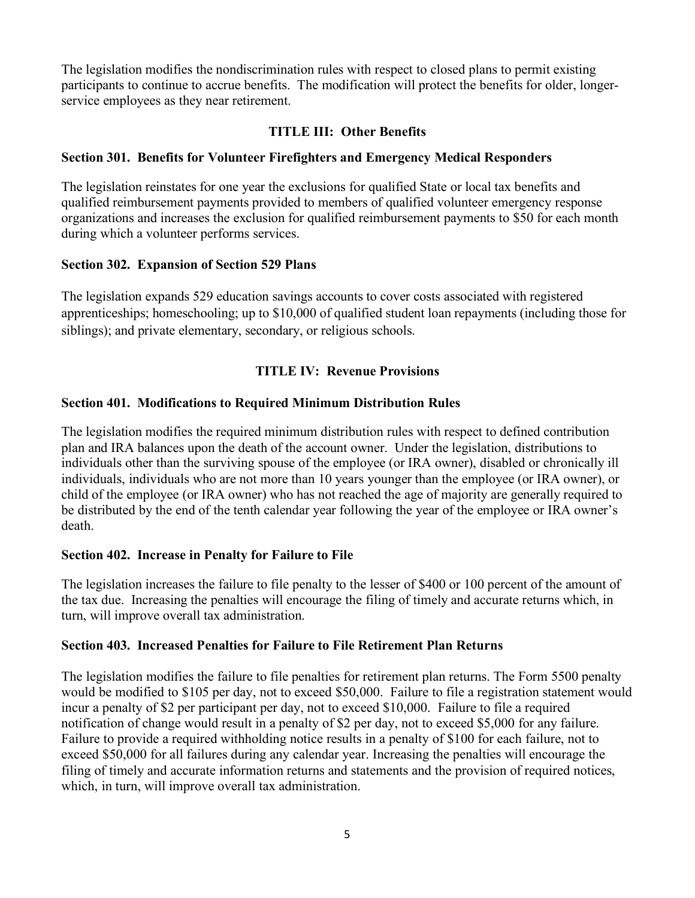The legislation modifies the nondiscrimination rules with respect to closed plans to permit existing participants to continue to accrue benefits. The modification will protect the benefits for older, longerservice employees as they near retirement.

## **TITLE III: Other Benefits**

## **Section 301. Benefits for Volunteer Firefighters and Emergency Medical Responders**

The legislation reinstates for one year the exclusions for qualified State or local tax benefits and qualified reimbursement payments provided to members of qualified volunteer emergency response organizations and increases the exclusion for qualified reimbursement payments to \$50 for each month during which a volunteer performs services.

#### **Section 302. Expansion of Section 529 Plans**

The legislation expands 529 education savings accounts to cover costs associated with registered apprenticeships; homeschooling; up to \$10,000 of qualified student loan repayments (including those for siblings); and private elementary, secondary, or religious schools.

## **TITLE IV: Revenue Provisions**

## **Section 401. Modifications to Required Minimum Distribution Rules**

The legislation modifies the required minimum distribution rules with respect to defined contribution plan and IRA balances upon the death of the account owner. Under the legislation, distributions to individuals other than the surviving spouse of the employee (or IRA owner), disabled or chronically ill individuals, individuals who are not more than 10 years younger than the employee (or IRA owner), or child of the employee (or IRA owner) who has not reached the age of majority are generally required to be distributed by the end of the tenth calendar year following the year of the employee or IRA owner's death.

## **Section 402. Increase in Penalty for Failure to File**

The legislation increases the failure to file penalty to the lesser of \$400 or 100 percent of the amount of the tax due. Increasing the penalties will encourage the filing of timely and accurate returns which, in turn, will improve overall tax administration.

## **Section 403. Increased Penalties for Failure to File Retirement Plan Returns**

The legislation modifies the failure to file penalties for retirement plan returns. The Form 5500 penalty would be modified to \$105 per day, not to exceed \$50,000. Failure to file a registration statement would incur a penalty of \$2 per participant per day, not to exceed \$10,000. Failure to file a required notification of change would result in a penalty of \$2 per day, not to exceed \$5,000 for any failure. Failure to provide a required withholding notice results in a penalty of \$100 for each failure, not to exceed \$50,000 for all failures during any calendar year. Increasing the penalties will encourage the filing of timely and accurate information returns and statements and the provision of required notices, which, in turn, will improve overall tax administration.